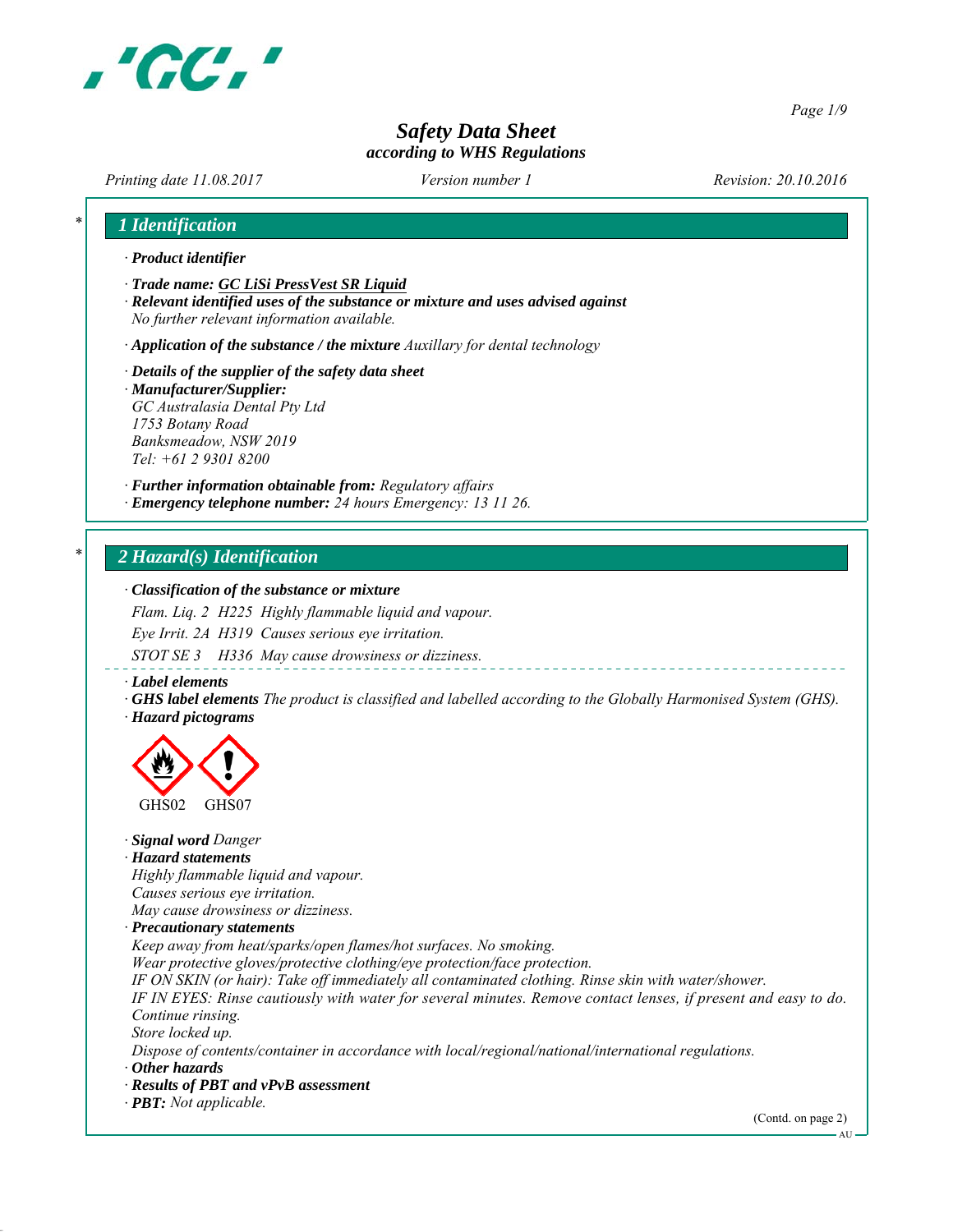

*Page 1/9*

# *Safety Data Sheet according to WHS Regulations*

*Printing date 11.08.2017 Revision: 20.10.2016 Version number 1*

| 1 Identification                                                                                                        |  |  |  |  |
|-------------------------------------------------------------------------------------------------------------------------|--|--|--|--|
| · Product identifier                                                                                                    |  |  |  |  |
| Trade name: GC LiSi PressVest SR Liquid                                                                                 |  |  |  |  |
| · Relevant identified uses of the substance or mixture and uses advised against                                         |  |  |  |  |
| No further relevant information available.                                                                              |  |  |  |  |
| $\cdot$ Application of the substance / the mixture Auxillary for dental technology                                      |  |  |  |  |
| $\cdot$ Details of the supplier of the safety data sheet                                                                |  |  |  |  |
| · Manufacturer/Supplier:                                                                                                |  |  |  |  |
| GC Australasia Dental Pty Ltd                                                                                           |  |  |  |  |
| 1753 Botany Road                                                                                                        |  |  |  |  |
| Banksmeadow, NSW 2019                                                                                                   |  |  |  |  |
| Tel: +61 2 9301 8200                                                                                                    |  |  |  |  |
| · Further information obtainable from: Regulatory affairs                                                               |  |  |  |  |
| · Emergency telephone number: 24 hours Emergency: 13 11 26.                                                             |  |  |  |  |
| 2 Hazard(s) Identification                                                                                              |  |  |  |  |
|                                                                                                                         |  |  |  |  |
| · Classification of the substance or mixture                                                                            |  |  |  |  |
| Flam. Liq. 2 H225 Highly flammable liquid and vapour.                                                                   |  |  |  |  |
| Eye Irrit. 2A H319 Causes serious eye irritation.                                                                       |  |  |  |  |
| STOT SE 3 H336 May cause drowsiness or dizziness.                                                                       |  |  |  |  |
| $\cdot$ Label elements                                                                                                  |  |  |  |  |
| $\cdot$ GHS label elements The product is classified and labelled according to the Globally Harmonised System (GHS).    |  |  |  |  |
| · Hazard pictograms                                                                                                     |  |  |  |  |
|                                                                                                                         |  |  |  |  |
|                                                                                                                         |  |  |  |  |
|                                                                                                                         |  |  |  |  |
|                                                                                                                         |  |  |  |  |
| GHS02<br>GHS07                                                                                                          |  |  |  |  |
| · Signal word Danger                                                                                                    |  |  |  |  |
| · Hazard statements                                                                                                     |  |  |  |  |
| Highly flammable liquid and vapour.                                                                                     |  |  |  |  |
| Causes serious eye irritation.                                                                                          |  |  |  |  |
| Mav cause drowsiness or dizziness.                                                                                      |  |  |  |  |
| · Precautionary statements                                                                                              |  |  |  |  |
| Keep away from heat/sparks/open flames/hot surfaces. No smoking.                                                        |  |  |  |  |
| Wear protective gloves/protective clothing/eye protection/face protection.                                              |  |  |  |  |
| IF ON SKIN (or hair): Take off immediately all contaminated clothing. Rinse skin with water/shower.                     |  |  |  |  |
| IF IN EYES: Rinse cautiously with water for several minutes. Remove contact lenses, if present and easy to do.          |  |  |  |  |
| Continue rinsing.                                                                                                       |  |  |  |  |
| Store locked up.<br>Dispose of contents/container in accordance with local/regional/national/international regulations. |  |  |  |  |
| $\cdot$ Other hazards                                                                                                   |  |  |  |  |
| · Results of PBT and vPvB assessment                                                                                    |  |  |  |  |
| $\cdot$ <b>PBT:</b> Not applicable.                                                                                     |  |  |  |  |
|                                                                                                                         |  |  |  |  |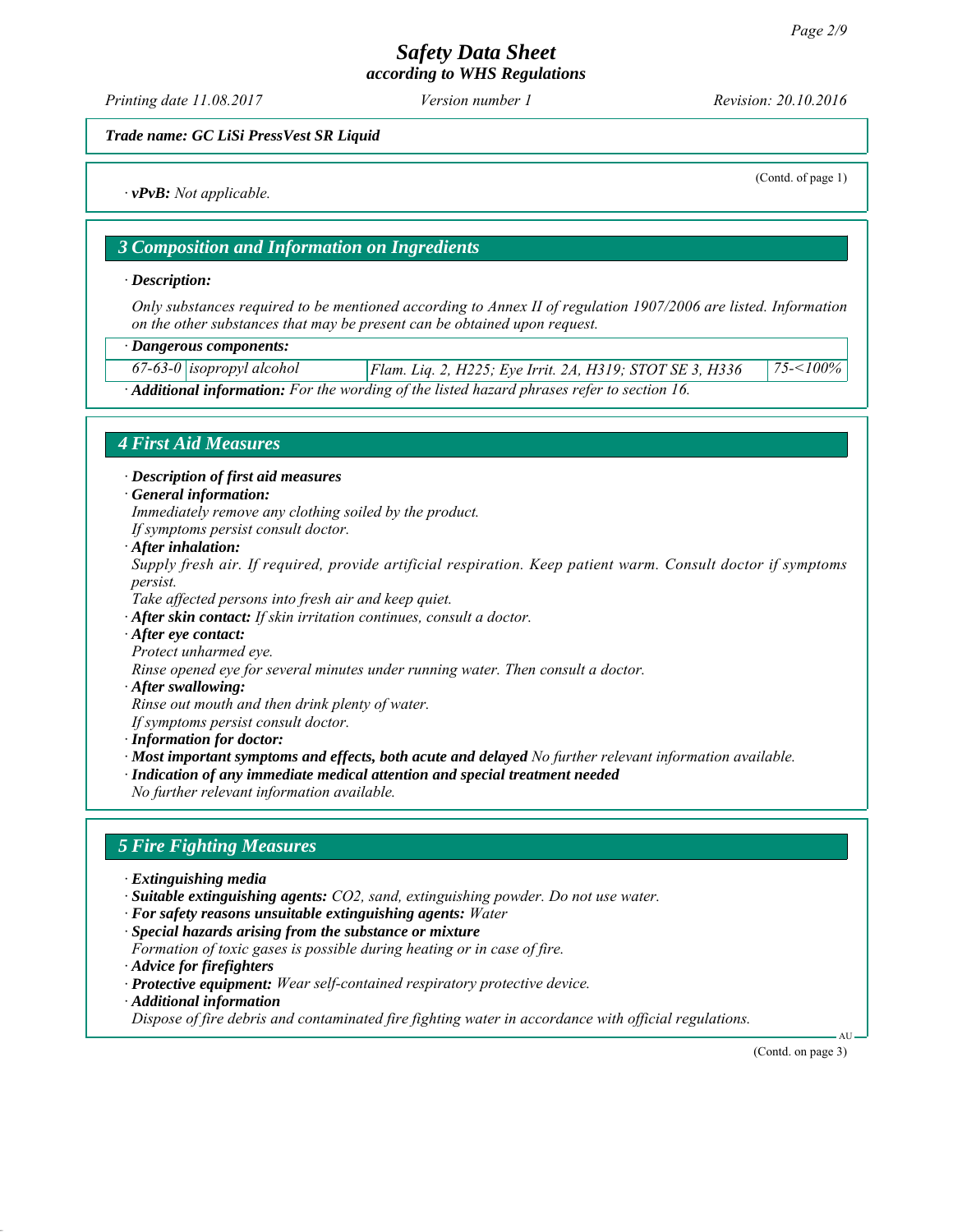# *Safety Data Sheet*

*according to WHS Regulations*

*Printing date 11.08.2017 Revision: 20.10.2016 Version number 1*

(Contd. of page 1)

*Trade name: GC LiSi PressVest SR Liquid*

*∙ vPvB: Not applicable.*

*3 Composition and Information on Ingredients*

*∙ Description:*

*Only substances required to be mentioned according to Annex II of regulation 1907/2006 are listed. Information on the other substances that may be present can be obtained upon request.*

*∙ Dangerous components:*

*67-63-0 isopropyl alcohol Flam. Liq. 2, H225; Eye Irrit. 2A, H319; STOT SE 3, H336 75-<100% ∙ Additional information: For the wording of the listed hazard phrases refer to section 16.*

## *4 First Aid Measures*

*∙ Description of first aid measures*

*∙ General information:*

*Immediately remove any clothing soiled by the product.*

*If symptoms persist consult doctor.*

*∙ After inhalation:*

*Supply fresh air. If required, provide artificial respiration. Keep patient warm. Consult doctor if symptoms persist.*

*Take affected persons into fresh air and keep quiet.*

*∙ After skin contact: If skin irritation continues, consult a doctor.*

*∙ After eye contact:*

*Protect unharmed eye.*

*Rinse opened eye for several minutes under running water. Then consult a doctor.*

*∙ After swallowing:*

*Rinse out mouth and then drink plenty of water.*

*If symptoms persist consult doctor.*

*∙ Information for doctor:*

*∙ Most important symptoms and effects, both acute and delayed No further relevant information available.*

*∙ Indication of any immediate medical attention and special treatment needed*

*No further relevant information available.*

### *5 Fire Fighting Measures*

- *∙ Extinguishing media*
- *∙ Suitable extinguishing agents: CO2, sand, extinguishing powder. Do not use water.*
- *∙ For safety reasons unsuitable extinguishing agents: Water*
- *∙ Special hazards arising from the substance or mixture*
- *Formation of toxic gases is possible during heating or in case of fire.*
- *∙ Advice for firefighters*

*∙ Protective equipment: Wear self-contained respiratory protective device. ∙ Additional information*

*Dispose of fire debris and contaminated fire fighting water in accordance with official regulations.*

(Contd. on page 3)

AU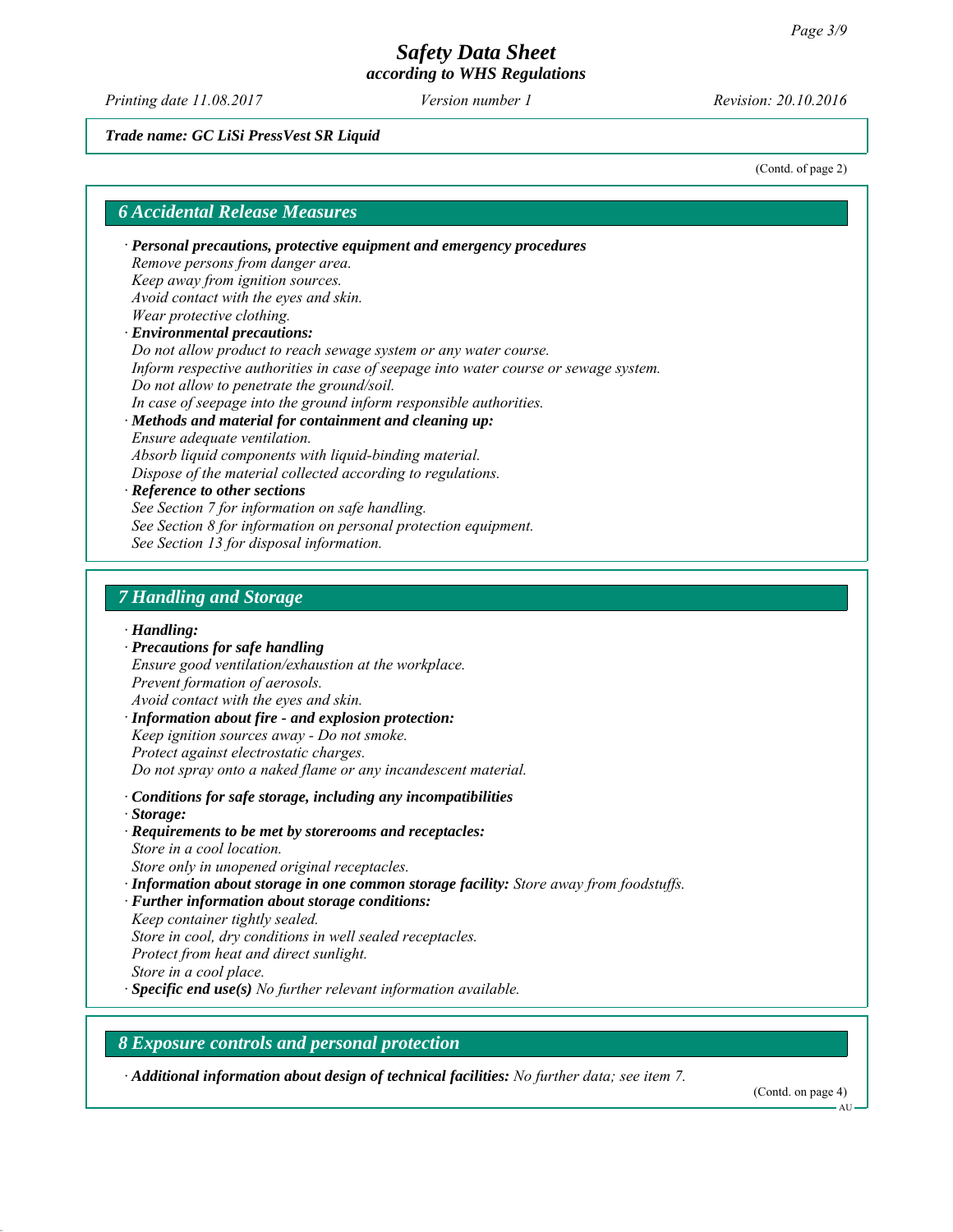*Printing date 11.08.2017 Revision: 20.10.2016 Version number 1*

#### *Trade name: GC LiSi PressVest SR Liquid*

(Contd. of page 2)

# *6 Accidental Release Measures ∙ Personal precautions, protective equipment and emergency procedures Remove persons from danger area. Keep away from ignition sources. Avoid contact with the eyes and skin. Wear protective clothing. ∙ Environmental precautions: Do not allow product to reach sewage system or any water course. Inform respective authorities in case of seepage into water course or sewage system. Do not allow to penetrate the ground/soil. In case of seepage into the ground inform responsible authorities. ∙ Methods and material for containment and cleaning up: Ensure adequate ventilation. Absorb liquid components with liquid-binding material. Dispose of the material collected according to regulations. ∙ Reference to other sections See Section 7 for information on safe handling. See Section 8 for information on personal protection equipment. See Section 13 for disposal information. 7 Handling and Storage ∙ Handling: ∙ Precautions for safe handling Ensure good ventilation/exhaustion at the workplace. Prevent formation of aerosols. Avoid contact with the eyes and skin.*

*∙ Information about fire - and explosion protection: Keep ignition sources away - Do not smoke. Protect against electrostatic charges. Do not spray onto a naked flame or any incandescent material.*

- *∙ Conditions for safe storage, including any incompatibilities*
- *∙ Storage:*
- *∙ Requirements to be met by storerooms and receptacles: Store in a cool location.*
- *Store only in unopened original receptacles.*
- *∙ Information about storage in one common storage facility: Store away from foodstuffs.*
- *∙ Further information about storage conditions:*
- *Keep container tightly sealed.*
- *Store in cool, dry conditions in well sealed receptacles.*
- *Protect from heat and direct sunlight.*
- *Store in a cool place.*
- *∙ Specific end use(s) No further relevant information available.*

## *8 Exposure controls and personal protection*

*∙ Additional information about design of technical facilities: No further data; see item 7.*

(Contd. on page 4)

AU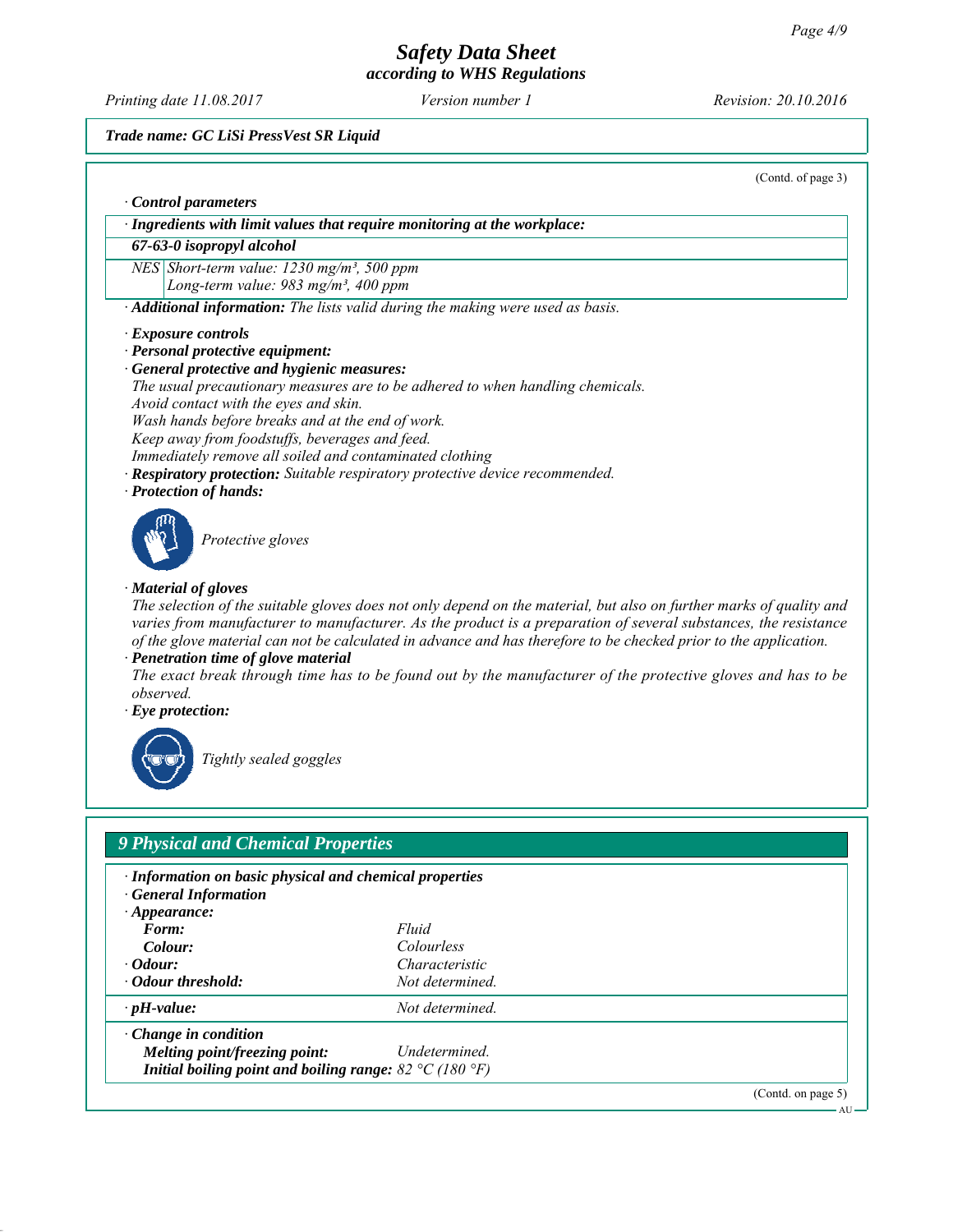*Printing date 11.08.2017 Revision: 20.10.2016 Version number 1*

## *Trade name: GC LiSi PressVest SR Liquid*

*Melting point/freezing point: Undetermined. Initial boiling point and boiling range: 82 °C (180 °F)* (Contd. of page 3)

| · Ingredients with limit values that require monitoring at the workplace:<br>67-63-0 isopropyl alcohol                                                                                                                                                         |                                                                                                                                |  |  |                                                         |  |
|----------------------------------------------------------------------------------------------------------------------------------------------------------------------------------------------------------------------------------------------------------------|--------------------------------------------------------------------------------------------------------------------------------|--|--|---------------------------------------------------------|--|
| NES Short-term value: $1230$ mg/m <sup>3</sup> , 500 ppm                                                                                                                                                                                                       |                                                                                                                                |  |  |                                                         |  |
| Long-term value: 983 mg/m <sup>3</sup> , 400 ppm                                                                                                                                                                                                               |                                                                                                                                |  |  |                                                         |  |
|                                                                                                                                                                                                                                                                | · Additional information: The lists valid during the making were used as basis.                                                |  |  |                                                         |  |
|                                                                                                                                                                                                                                                                |                                                                                                                                |  |  |                                                         |  |
| · Exposure controls                                                                                                                                                                                                                                            |                                                                                                                                |  |  |                                                         |  |
| · Personal protective equipment:<br>· General protective and hygienic measures:<br>The usual precautionary measures are to be adhered to when handling chemicals.<br>Avoid contact with the eyes and skin.<br>Wash hands before breaks and at the end of work. |                                                                                                                                |  |  |                                                         |  |
|                                                                                                                                                                                                                                                                |                                                                                                                                |  |  |                                                         |  |
|                                                                                                                                                                                                                                                                |                                                                                                                                |  |  | Keep away from foodstuffs, beverages and feed.          |  |
|                                                                                                                                                                                                                                                                |                                                                                                                                |  |  | Immediately remove all soiled and contaminated clothing |  |
|                                                                                                                                                                                                                                                                | · Respiratory protection: Suitable respiratory protective device recommended.                                                  |  |  |                                                         |  |
| · Protection of hands:                                                                                                                                                                                                                                         |                                                                                                                                |  |  |                                                         |  |
|                                                                                                                                                                                                                                                                |                                                                                                                                |  |  |                                                         |  |
| Protective gloves                                                                                                                                                                                                                                              |                                                                                                                                |  |  |                                                         |  |
|                                                                                                                                                                                                                                                                |                                                                                                                                |  |  |                                                         |  |
|                                                                                                                                                                                                                                                                |                                                                                                                                |  |  |                                                         |  |
|                                                                                                                                                                                                                                                                |                                                                                                                                |  |  |                                                         |  |
| · Material of gloves                                                                                                                                                                                                                                           |                                                                                                                                |  |  |                                                         |  |
|                                                                                                                                                                                                                                                                | The selection of the suitable gloves does not only depend on the material, but also on further marks of quality and            |  |  |                                                         |  |
|                                                                                                                                                                                                                                                                | varies from manufacturer to manufacturer. As the product is a preparation of several substances, the resistance                |  |  |                                                         |  |
|                                                                                                                                                                                                                                                                |                                                                                                                                |  |  |                                                         |  |
|                                                                                                                                                                                                                                                                | of the glove material can not be calculated in advance and has therefore to be checked prior to the application.               |  |  |                                                         |  |
| · Penetration time of glove material                                                                                                                                                                                                                           |                                                                                                                                |  |  |                                                         |  |
| observed.                                                                                                                                                                                                                                                      |                                                                                                                                |  |  |                                                         |  |
|                                                                                                                                                                                                                                                                |                                                                                                                                |  |  |                                                         |  |
| $\cdot$ Eye protection:                                                                                                                                                                                                                                        |                                                                                                                                |  |  |                                                         |  |
|                                                                                                                                                                                                                                                                |                                                                                                                                |  |  |                                                         |  |
| Tightly sealed goggles                                                                                                                                                                                                                                         |                                                                                                                                |  |  |                                                         |  |
|                                                                                                                                                                                                                                                                |                                                                                                                                |  |  |                                                         |  |
|                                                                                                                                                                                                                                                                |                                                                                                                                |  |  |                                                         |  |
|                                                                                                                                                                                                                                                                |                                                                                                                                |  |  |                                                         |  |
|                                                                                                                                                                                                                                                                |                                                                                                                                |  |  |                                                         |  |
| <b>9 Physical and Chemical Properties</b>                                                                                                                                                                                                                      |                                                                                                                                |  |  |                                                         |  |
| · Information on basic physical and chemical properties                                                                                                                                                                                                        |                                                                                                                                |  |  |                                                         |  |
| · General Information                                                                                                                                                                                                                                          |                                                                                                                                |  |  |                                                         |  |
| $\cdot$ Appearance:                                                                                                                                                                                                                                            |                                                                                                                                |  |  |                                                         |  |
| Form:                                                                                                                                                                                                                                                          | Fluid                                                                                                                          |  |  |                                                         |  |
| Colour:                                                                                                                                                                                                                                                        | Colourless                                                                                                                     |  |  |                                                         |  |
| $\cdot$ Odour:                                                                                                                                                                                                                                                 | Characteristic                                                                                                                 |  |  |                                                         |  |
| · Odour threshold:                                                                                                                                                                                                                                             | The exact break through time has to be found out by the manufacturer of the protective gloves and has to be<br>Not determined. |  |  |                                                         |  |

(Contd. on page 5) AU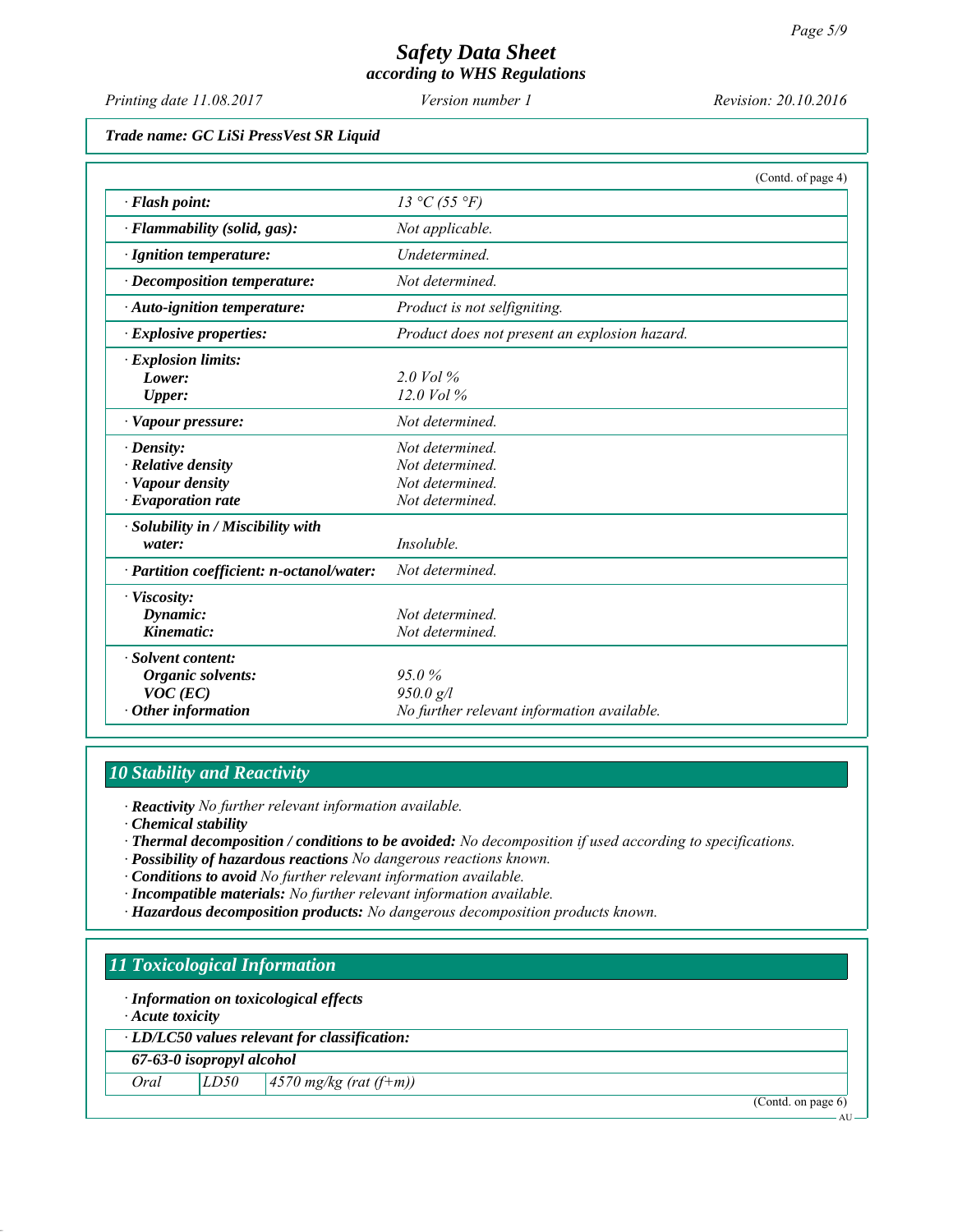*Printing date 11.08.2017 Revision: 20.10.2016 Version number 1*

*Trade name: GC LiSi PressVest SR Liquid*

|                                           | (Contd. of page 4)                            |
|-------------------------------------------|-----------------------------------------------|
| $\cdot$ Flash point:                      | 13 °C (55 °F)                                 |
| $\cdot$ Flammability (solid, gas):        | Not applicable.                               |
| · Ignition temperature:                   | <b>Undetermined</b>                           |
| $\cdot$ Decomposition temperature:        | Not determined.                               |
| $\cdot$ Auto-ignition temperature:        | Product is not selfigniting.                  |
| $\cdot$ Explosive properties:             | Product does not present an explosion hazard. |
| · Explosion limits:                       |                                               |
| Lower:                                    | $2.0$ Vol $\%$                                |
| Upper:                                    | $12.0$ Vol %                                  |
| · Vapour pressure:                        | Not determined.                               |
| $\cdot$ Density:                          | Not determined.                               |
| $\cdot$ Relative density                  | Not determined.                               |
| · Vapour density                          | Not determined.                               |
| $\cdot$ Evaporation rate                  | Not determined.                               |
| · Solubility in / Miscibility with        |                                               |
| water:                                    | Insoluble.                                    |
| · Partition coefficient: n-octanol/water: | Not determined.                               |
| · Viscosity:                              |                                               |
| Dynamic:                                  | Not determined.                               |
| Kinematic:                                | Not determined.                               |
| · Solvent content:                        |                                               |
| Organic solvents:                         | 95.0%                                         |
| $VOC$ (EC)                                | 950.0 g/l                                     |
| $\cdot$ Other information                 | No further relevant information available.    |

# *10 Stability and Reactivity*

*∙ Reactivity No further relevant information available.*

- *∙ Chemical stability*
- *∙ Thermal decomposition / conditions to be avoided: No decomposition if used according to specifications.*
- *∙ Possibility of hazardous reactions No dangerous reactions known.*
- *∙ Conditions to avoid No further relevant information available.*
- *∙ Incompatible materials: No further relevant information available.*
- *∙ Hazardous decomposition products: No dangerous decomposition products known.*

# *11 Toxicological Information*

*∙ Information on toxicological effects*

*∙ Acute toxicity*

*∙ LD/LC50 values relevant for classification:*

*67-63-0 isopropyl alcohol*

*Oral LD50 4570 mg/kg (rat (f+m))*

(Contd. on page 6)

AU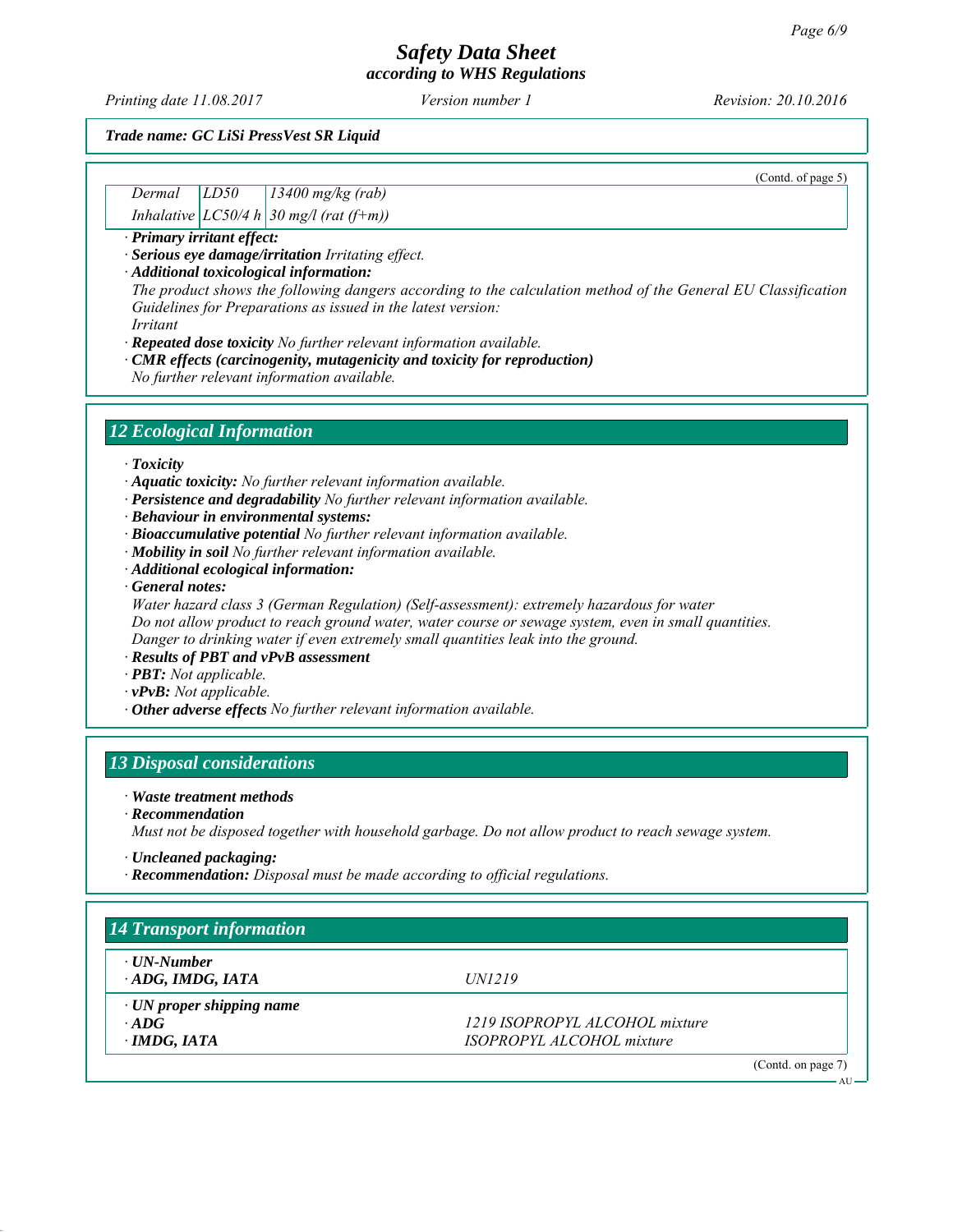*Printing date 11.08.2017 Revision: 20.10.2016 Version number 1*

(Contd. of page 5)

#### *Trade name: GC LiSi PressVest SR Liquid*

| Dermal | LD50 | $13400$ mg/kg (rab)                         |
|--------|------|---------------------------------------------|
|        |      | Inhalative $ LCS0/4 h $ 30 mg/l (rat (f+m)) |

*∙ Primary irritant effect:*

*∙ Serious eye damage/irritation Irritating effect.*

*∙ Additional toxicological information:*

*The product shows the following dangers according to the calculation method of the General EU Classification Guidelines for Preparations as issued in the latest version:*

*Irritant*

*∙ Repeated dose toxicity No further relevant information available.*

*∙ CMR effects (carcinogenity, mutagenicity and toxicity for reproduction)*

*No further relevant information available.*

## *12 Ecological Information*

*∙ Toxicity*

- *∙ Aquatic toxicity: No further relevant information available.*
- *∙ Persistence and degradability No further relevant information available.*

*∙ Behaviour in environmental systems:*

- *∙ Bioaccumulative potential No further relevant information available.*
- *∙ Mobility in soil No further relevant information available.*
- *∙ Additional ecological information:*
- *∙ General notes:*

*Water hazard class 3 (German Regulation) (Self-assessment): extremely hazardous for water Do not allow product to reach ground water, water course or sewage system, even in small quantities. Danger to drinking water if even extremely small quantities leak into the ground.*

*∙ Results of PBT and vPvB assessment*

- *∙ PBT: Not applicable.*
- *∙ vPvB: Not applicable.*
- *∙ Other adverse effects No further relevant information available.*

# *13 Disposal considerations*

*∙ Waste treatment methods*

*∙ Recommendation*

*Must not be disposed together with household garbage. Do not allow product to reach sewage system.*

*∙ Uncleaned packaging:*

*∙ Recommendation: Disposal must be made according to official regulations.*

| $\cdot$ UN-Number               |                                |
|---------------------------------|--------------------------------|
| ADG, IMDG, IATA                 | <i>UN1219</i>                  |
| $\cdot$ UN proper shipping name |                                |
| $\cdot$ ADG                     | 1219 ISOPROPYL ALCOHOL mixture |
| $\cdot$ IMDG, IATA              | ISOPROPYL ALCOHOL mixture      |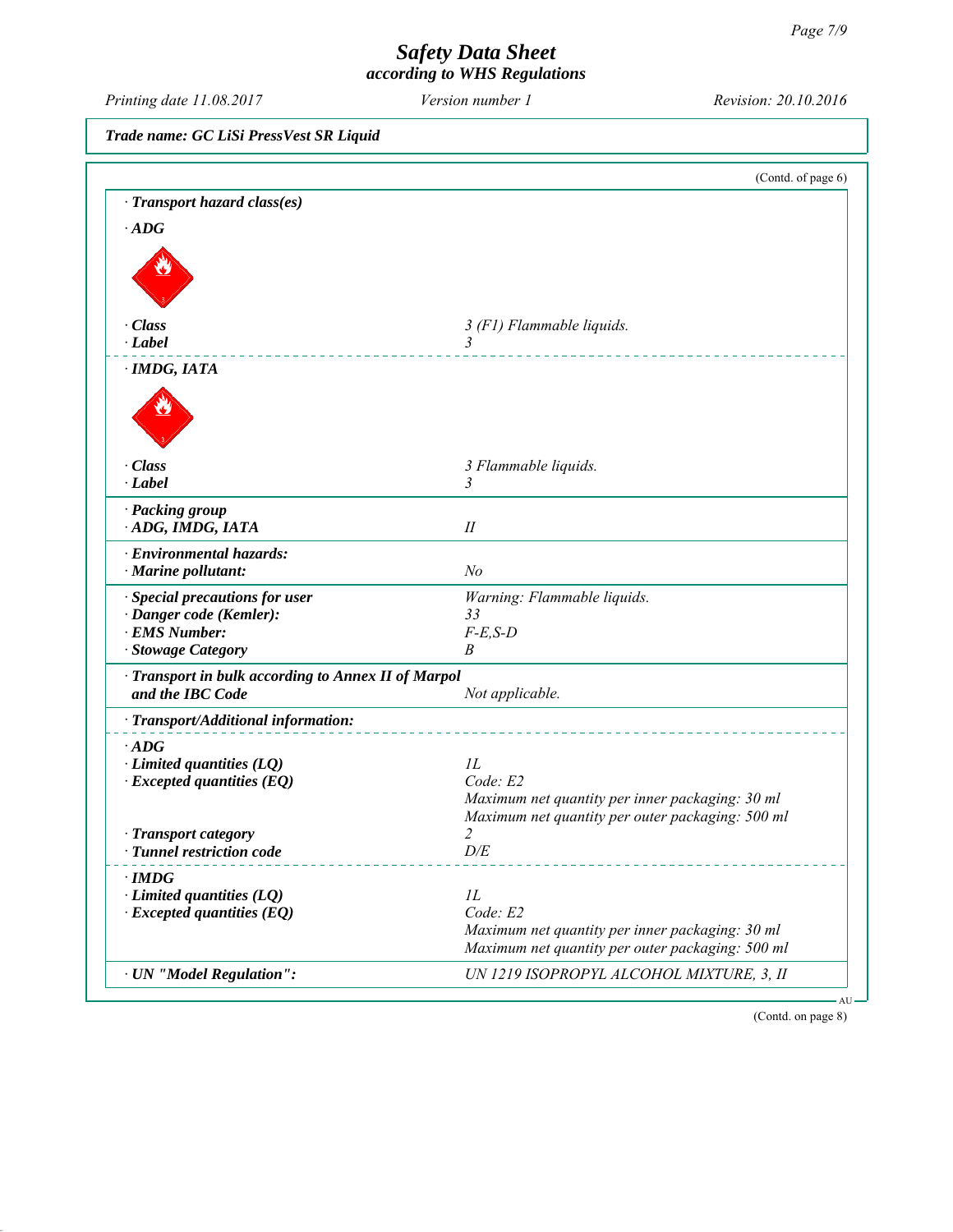*Printing date 11.08.2017 Revision: 20.10.2016 Version number 1*

*Trade name: GC LiSi PressVest SR Liquid*

|                                                   | (Contd. of page 6)                               |
|---------------------------------------------------|--------------------------------------------------|
| · Transport hazard class(es)                      |                                                  |
| $\cdot$ ADG                                       |                                                  |
|                                                   |                                                  |
|                                                   |                                                  |
|                                                   |                                                  |
| · Class                                           | 3 (F1) Flammable liquids.                        |
| $\cdot$ <i>Label</i>                              | 3                                                |
| $\cdot$ IMDG, IATA                                |                                                  |
|                                                   |                                                  |
|                                                   |                                                  |
|                                                   |                                                  |
|                                                   |                                                  |
| · Class                                           | 3 Flammable liquids.                             |
| · Label                                           | 3                                                |
| · Packing group                                   |                                                  |
| ADG, IMDG, IATA                                   | $I\!I$                                           |
| · Environmental hazards:                          |                                                  |
| $\cdot$ Marine pollutant:                         | N <sub>o</sub>                                   |
| · Special precautions for user                    | Warning: Flammable liquids.                      |
| · Danger code (Kemler):                           | 33                                               |
| · EMS Number:                                     | $F-E,S-D$                                        |
| · Stowage Category                                | B                                                |
| Transport in bulk according to Annex II of Marpol |                                                  |
| and the IBC Code                                  | Not applicable.                                  |
| · Transport/Additional information:               |                                                  |
| $\cdot$ ADG                                       |                                                  |
| $\cdot$ Limited quantities (LQ)                   | 1L                                               |
| $\cdot$ Excepted quantities (EQ)                  | Code: E2                                         |
|                                                   | Maximum net quantity per inner packaging: 30 ml  |
|                                                   | Maximum net quantity per outer packaging: 500 ml |
| · Transport category                              | $\overline{2}$                                   |
| · Tunnel restriction code                         | D/E                                              |
| $\cdot$ IMDG                                      |                                                  |
| $\cdot$ Limited quantities (LQ)                   | IL                                               |
| $\cdot$ Excepted quantities (EQ)                  | Code: E2                                         |
|                                                   | Maximum net quantity per inner packaging: 30 ml  |
|                                                   | Maximum net quantity per outer packaging: 500 ml |
| · UN "Model Regulation":                          | UN 1219 ISOPROPYL ALCOHOL MIXTURE, 3, II         |

(Contd. on page 8)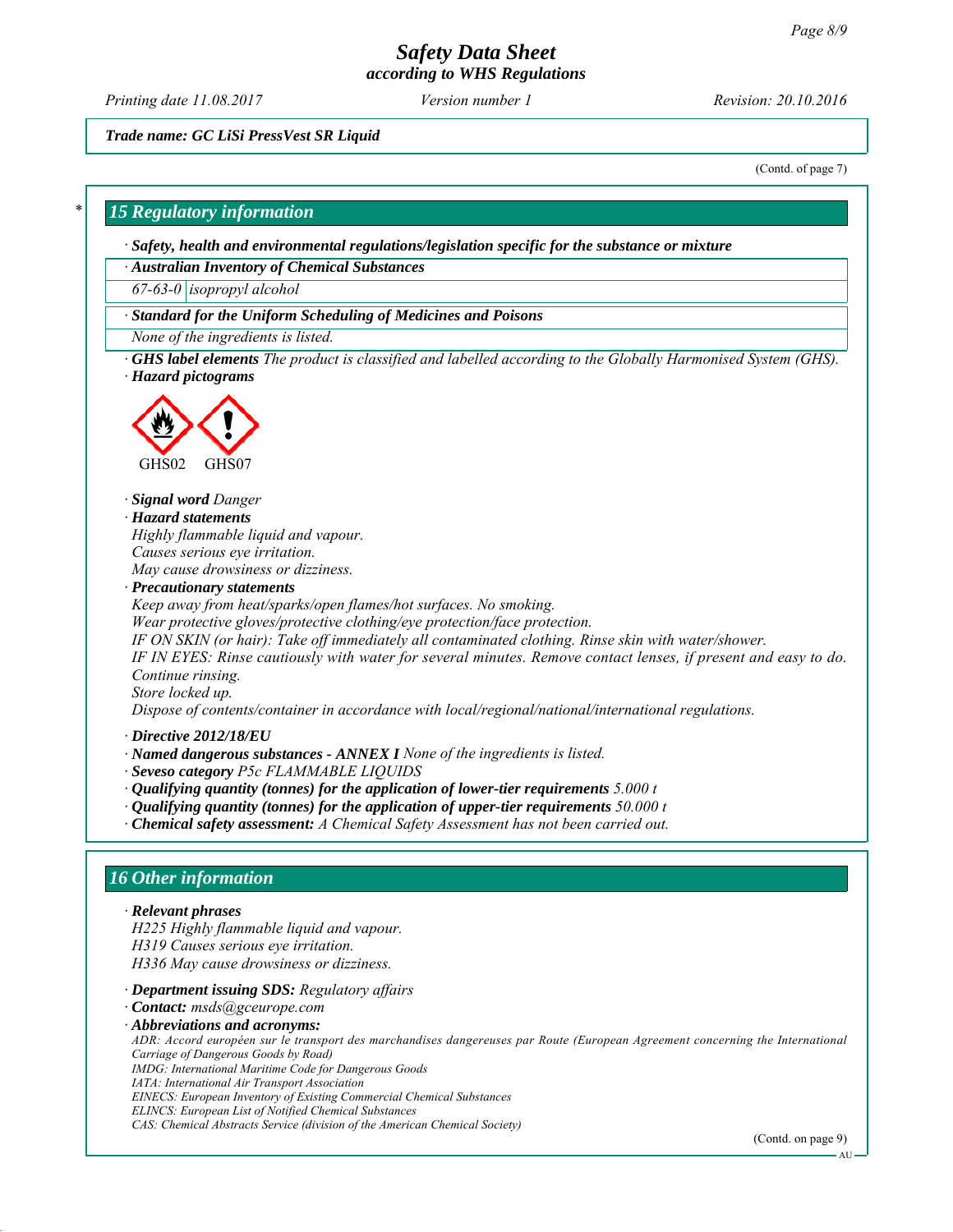# *Safety Data Sheet*

*according to WHS Regulations*

*Printing date 11.08.2017 Revision: 20.10.2016 Version number 1*

*Trade name: GC LiSi PressVest SR Liquid*

(Contd. of page 7)

#### *\* 15 Regulatory information*

*∙ Safety, health and environmental regulations/legislation specific for the substance or mixture*

*∙ Australian Inventory of Chemical Substances*

*67-63-0 isopropyl alcohol*

*∙ Standard for the Uniform Scheduling of Medicines and Poisons*

*None of the ingredients is listed.*

*∙ GHS label elements The product is classified and labelled according to the Globally Harmonised System (GHS). ∙ Hazard pictograms*



*∙ Signal word Danger*

*∙ Hazard statements Highly flammable liquid and vapour. Causes serious eye irritation.*

*May cause drowsiness or dizziness.*

*∙ Precautionary statements*

*Keep away from heat/sparks/open flames/hot surfaces. No smoking.*

*Wear protective gloves/protective clothing/eye protection/face protection.*

*IF ON SKIN (or hair): Take off immediately all contaminated clothing. Rinse skin with water/shower.*

*IF IN EYES: Rinse cautiously with water for several minutes. Remove contact lenses, if present and easy to do. Continue rinsing.*

*Store locked up.*

*Dispose of contents/container in accordance with local/regional/national/international regulations.*

*∙ Directive 2012/18/EU*

- *∙ Named dangerous substances ANNEX I None of the ingredients is listed.*
- *∙ Seveso category P5c FLAMMABLE LIQUIDS*
- *∙ Qualifying quantity (tonnes) for the application of lower-tier requirements 5.000 t*
- *∙ Qualifying quantity (tonnes) for the application of upper-tier requirements 50.000 t*
- *∙ Chemical safety assessment: A Chemical Safety Assessment has not been carried out.*

#### *16 Other information*

#### *∙ Relevant phrases*

*H225 Highly flammable liquid and vapour. H319 Causes serious eye irritation. H336 May cause drowsiness or dizziness.*

#### *∙ Department issuing SDS: Regulatory affairs*

*∙ Contact: msds@gceurope.com*

*∙ Abbreviations and acronyms:*

*ADR: Accord européen sur le transport des marchandises dangereuses par Route (European Agreement concerning the International Carriage of Dangerous Goods by Road) IMDG: International Maritime Code for Dangerous Goods*

*IATA: International Air Transport Association*

*EINECS: European Inventory of Existing Commercial Chemical Substances*

*ELINCS: European List of Notified Chemical Substances CAS: Chemical Abstracts Service (division of the American Chemical Society)*

(Contd. on page 9)